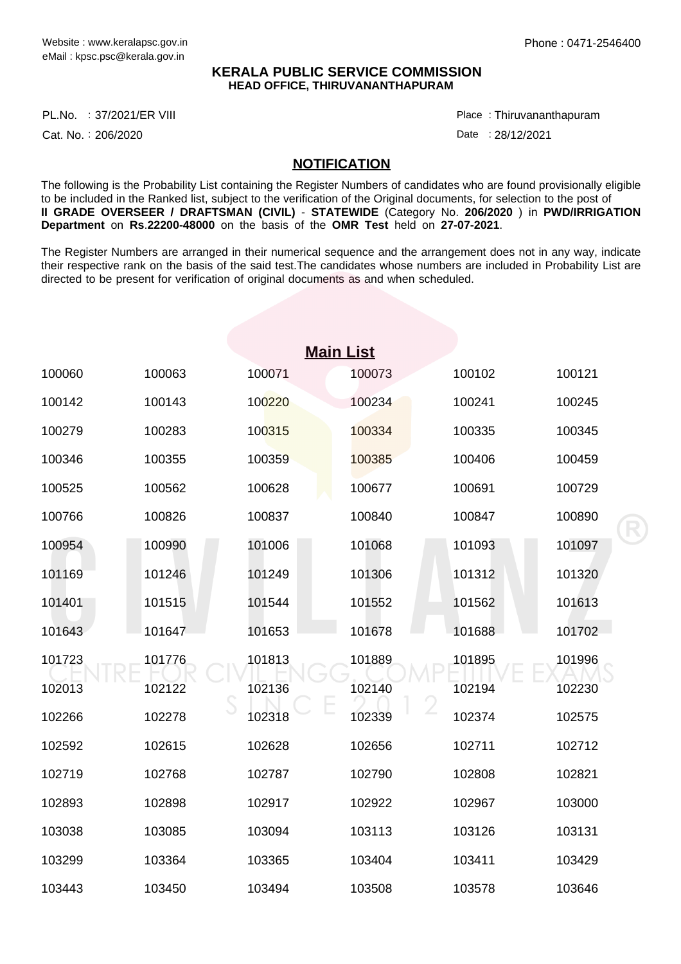## **KERALA PUBLIC SERVICE COMMISSION HEAD OFFICE, THIRUVANANTHAPURAM**

PL.No. :37/2021/ER VIII Place Product and All Place Product and Place Product and Place

Cat. No.: 206/2020

Thiruvananthapuram :

Date: 28/12/2021

## **NOTIFICATION**

The following is the Probability List containing the Register Numbers of candidates who are found provisionally eligible to be included in the Ranked list, subject to the verification of the Original documents, for selection to the post of **II GRADE OVERSEER / DRAFTSMAN (CIVIL)** - **STATEWIDE** (Category No. **206/2020** ) in **PWD/IRRIGATION Department** on **Rs**.**22200-48000** on the basis of the **OMR Test** held on **27-07-2021**.

The Register Numbers are arranged in their numerical sequence and the arrangement does not in any way, indicate their respective rank on the basis of the said test.The candidates whose numbers are included in Probability List are directed to be present for verification of original documents as and when scheduled.

|        |        |        | <b>Main List</b> |        |        |
|--------|--------|--------|------------------|--------|--------|
| 100060 | 100063 | 100071 | 100073           | 100102 | 100121 |
| 100142 | 100143 | 100220 | 100234           | 100241 | 100245 |
| 100279 | 100283 | 100315 | 100334           | 100335 | 100345 |
| 100346 | 100355 | 100359 | 100385           | 100406 | 100459 |
| 100525 | 100562 | 100628 | 100677           | 100691 | 100729 |
| 100766 | 100826 | 100837 | 100840           | 100847 | 100890 |
| 100954 | 100990 | 101006 | 101068           | 101093 | 101097 |
| 101169 | 101246 | 101249 | 101306           | 101312 | 101320 |
| 101401 | 101515 | 101544 | 101552           | 101562 | 101613 |
| 101643 | 101647 | 101653 | 101678           | 101688 | 101702 |
| 101723 | 101776 | 101813 | 101889           | 101895 | 101996 |
| 102013 | 102122 | 102136 | 102140           | 102194 | 102230 |
| 102266 | 102278 | 102318 | 102339           | 102374 | 102575 |
| 102592 | 102615 | 102628 | 102656           | 102711 | 102712 |
| 102719 | 102768 | 102787 | 102790           | 102808 | 102821 |
| 102893 | 102898 | 102917 | 102922           | 102967 | 103000 |
| 103038 | 103085 | 103094 | 103113           | 103126 | 103131 |
| 103299 | 103364 | 103365 | 103404           | 103411 | 103429 |
| 103443 | 103450 | 103494 | 103508           | 103578 | 103646 |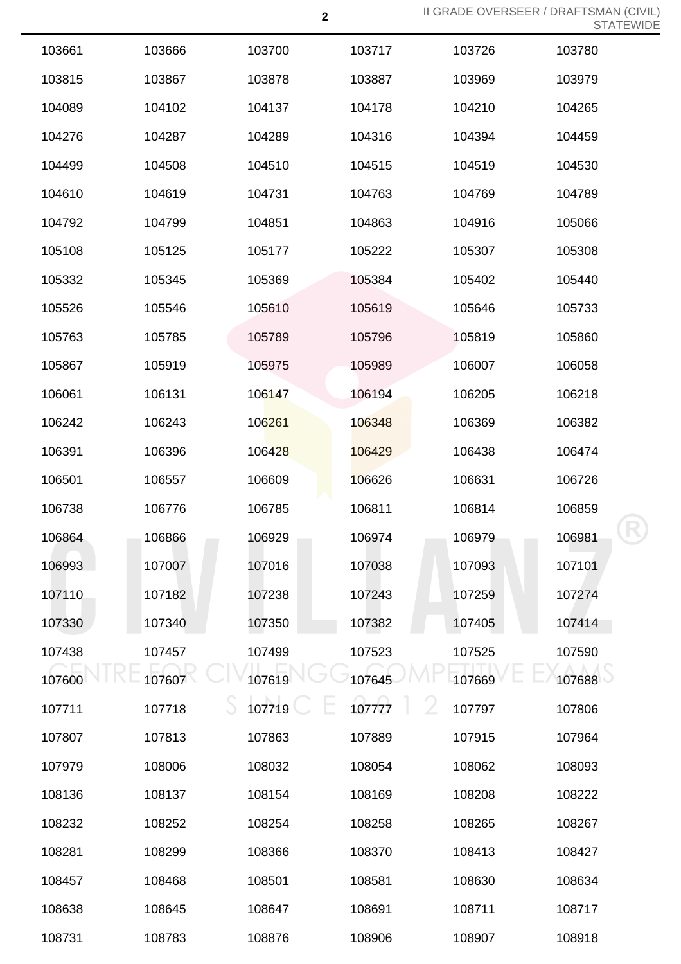| 103661 | 103666 | 103700 | 103717 | 103726 | 103780 |
|--------|--------|--------|--------|--------|--------|
| 103815 | 103867 | 103878 | 103887 | 103969 | 103979 |
| 104089 | 104102 | 104137 | 104178 | 104210 | 104265 |
| 104276 | 104287 | 104289 | 104316 | 104394 | 104459 |
| 104499 | 104508 | 104510 | 104515 | 104519 | 104530 |
| 104610 | 104619 | 104731 | 104763 | 104769 | 104789 |
| 104792 | 104799 | 104851 | 104863 | 104916 | 105066 |
| 105108 | 105125 | 105177 | 105222 | 105307 | 105308 |
| 105332 | 105345 | 105369 | 105384 | 105402 | 105440 |
| 105526 | 105546 | 105610 | 105619 | 105646 | 105733 |
| 105763 | 105785 | 105789 | 105796 | 105819 | 105860 |
| 105867 | 105919 | 105975 | 105989 | 106007 | 106058 |
| 106061 | 106131 | 106147 | 106194 | 106205 | 106218 |
| 106242 | 106243 | 106261 | 106348 | 106369 | 106382 |
| 106391 | 106396 | 106428 | 106429 | 106438 | 106474 |
| 106501 | 106557 | 106609 | 106626 | 106631 | 106726 |
| 106738 | 106776 | 106785 | 106811 | 106814 | 106859 |
| 106864 | 106866 | 106929 | 106974 | 106979 | 106981 |
| 106993 | 107007 | 107016 | 107038 | 107093 | 107101 |
| 107110 | 107182 | 107238 | 107243 | 107259 | 107274 |
| 107330 | 107340 | 107350 | 107382 | 107405 | 107414 |
| 107438 | 107457 | 107499 | 107523 | 107525 | 107590 |
| 107600 | 107607 | 107619 | 107645 | 107669 | 107688 |
| 107711 | 107718 | 107719 | 107777 | 107797 | 107806 |
| 107807 | 107813 | 107863 | 107889 | 107915 | 107964 |
| 107979 | 108006 | 108032 | 108054 | 108062 | 108093 |
| 108136 | 108137 | 108154 | 108169 | 108208 | 108222 |
| 108232 | 108252 | 108254 | 108258 | 108265 | 108267 |
| 108281 | 108299 | 108366 | 108370 | 108413 | 108427 |
| 108457 | 108468 | 108501 | 108581 | 108630 | 108634 |
| 108638 | 108645 | 108647 | 108691 | 108711 | 108717 |
| 108731 | 108783 | 108876 | 108906 | 108907 | 108918 |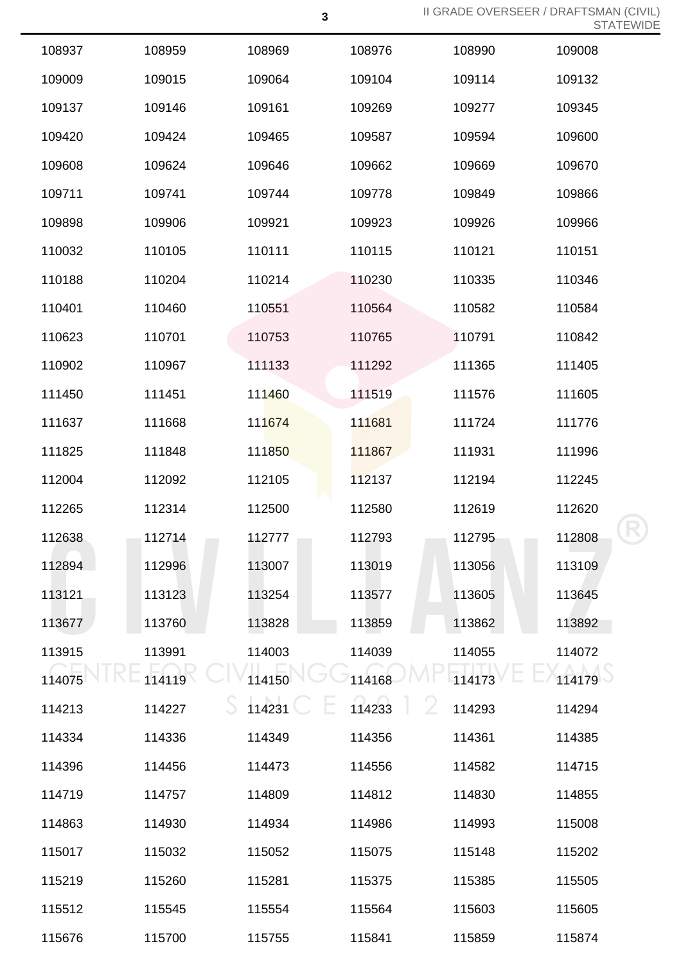| 108937 | 108959 | 108969 | 108976      | 108990 | 109008 |
|--------|--------|--------|-------------|--------|--------|
| 109009 | 109015 | 109064 | 109104      | 109114 | 109132 |
| 109137 | 109146 | 109161 | 109269      | 109277 | 109345 |
| 109420 | 109424 | 109465 | 109587      | 109594 | 109600 |
| 109608 | 109624 | 109646 | 109662      | 109669 | 109670 |
| 109711 | 109741 | 109744 | 109778      | 109849 | 109866 |
| 109898 | 109906 | 109921 | 109923      | 109926 | 109966 |
| 110032 | 110105 | 110111 | 110115      | 110121 | 110151 |
| 110188 | 110204 | 110214 | 110230      | 110335 | 110346 |
| 110401 | 110460 | 110551 | 110564      | 110582 | 110584 |
| 110623 | 110701 | 110753 | 110765      | 110791 | 110842 |
| 110902 | 110967 | 111133 | 111292      | 111365 | 111405 |
| 111450 | 111451 | 111460 | 111519      | 111576 | 111605 |
| 111637 | 111668 | 111674 | 111681      | 111724 | 111776 |
| 111825 | 111848 | 111850 | 111867      | 111931 | 111996 |
| 112004 | 112092 | 112105 | 112137      | 112194 | 112245 |
| 112265 | 112314 | 112500 | 112580      | 112619 | 112620 |
| 112638 | 112714 | 112777 | 112793      | 112795 | 112808 |
| 112894 | 112996 | 113007 | 113019      | 113056 | 113109 |
| 113121 | 113123 | 113254 | 113577      | 113605 | 113645 |
| 113677 | 113760 | 113828 | 113859      | 113862 | 113892 |
| 113915 | 113991 | 114003 | 114039      | 114055 | 114072 |
| 114075 | 114119 | 114150 | 114168      | 114173 | 114179 |
| 114213 | 114227 | 114231 | 2<br>114233 | 114293 | 114294 |
| 114334 | 114336 | 114349 | 114356      | 114361 | 114385 |
| 114396 | 114456 | 114473 | 114556      | 114582 | 114715 |
| 114719 | 114757 | 114809 | 114812      | 114830 | 114855 |
| 114863 | 114930 | 114934 | 114986      | 114993 | 115008 |
| 115017 | 115032 | 115052 | 115075      | 115148 | 115202 |
| 115219 | 115260 | 115281 | 115375      | 115385 | 115505 |
| 115512 | 115545 | 115554 | 115564      | 115603 | 115605 |
| 115676 | 115700 | 115755 | 115841      | 115859 | 115874 |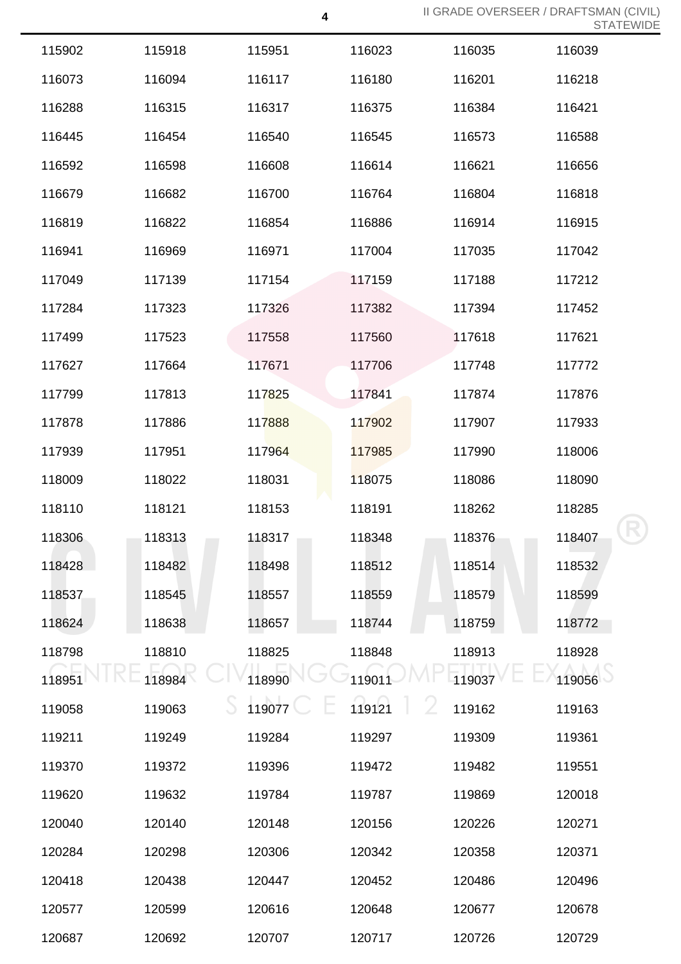| 115902 | 115918 | 115951 | 116023 | 116035 | 116039 |
|--------|--------|--------|--------|--------|--------|
| 116073 | 116094 | 116117 | 116180 | 116201 | 116218 |
| 116288 | 116315 | 116317 | 116375 | 116384 | 116421 |
| 116445 | 116454 | 116540 | 116545 | 116573 | 116588 |
| 116592 | 116598 | 116608 | 116614 | 116621 | 116656 |
| 116679 | 116682 | 116700 | 116764 | 116804 | 116818 |
| 116819 | 116822 | 116854 | 116886 | 116914 | 116915 |
| 116941 | 116969 | 116971 | 117004 | 117035 | 117042 |
| 117049 | 117139 | 117154 | 117159 | 117188 | 117212 |
| 117284 | 117323 | 117326 | 117382 | 117394 | 117452 |
| 117499 | 117523 | 117558 | 117560 | 117618 | 117621 |
| 117627 | 117664 | 117671 | 117706 | 117748 | 117772 |
| 117799 | 117813 | 117825 | 117841 | 117874 | 117876 |
| 117878 | 117886 | 117888 | 117902 | 117907 | 117933 |
| 117939 | 117951 | 117964 | 117985 | 117990 | 118006 |
| 118009 | 118022 | 118031 | 118075 | 118086 | 118090 |
| 118110 | 118121 | 118153 | 118191 | 118262 | 118285 |
| 118306 | 118313 | 118317 | 118348 | 118376 | 118407 |
| 118428 | 118482 | 118498 | 118512 | 118514 | 118532 |
| 118537 | 118545 | 118557 | 118559 | 118579 | 118599 |
| 118624 | 118638 | 118657 | 118744 | 118759 | 118772 |
| 118798 | 118810 | 118825 | 118848 | 118913 | 118928 |
| 118951 | 118984 | 118990 | 119011 | 119037 | 119056 |
| 119058 | 119063 | 119077 | 119121 | 119162 | 119163 |
| 119211 | 119249 | 119284 | 119297 | 119309 | 119361 |
| 119370 | 119372 | 119396 | 119472 | 119482 | 119551 |
| 119620 | 119632 | 119784 | 119787 | 119869 | 120018 |
| 120040 | 120140 | 120148 | 120156 | 120226 | 120271 |
| 120284 | 120298 | 120306 | 120342 | 120358 | 120371 |
| 120418 | 120438 | 120447 | 120452 | 120486 | 120496 |
| 120577 | 120599 | 120616 | 120648 | 120677 | 120678 |
| 120687 | 120692 | 120707 | 120717 | 120726 | 120729 |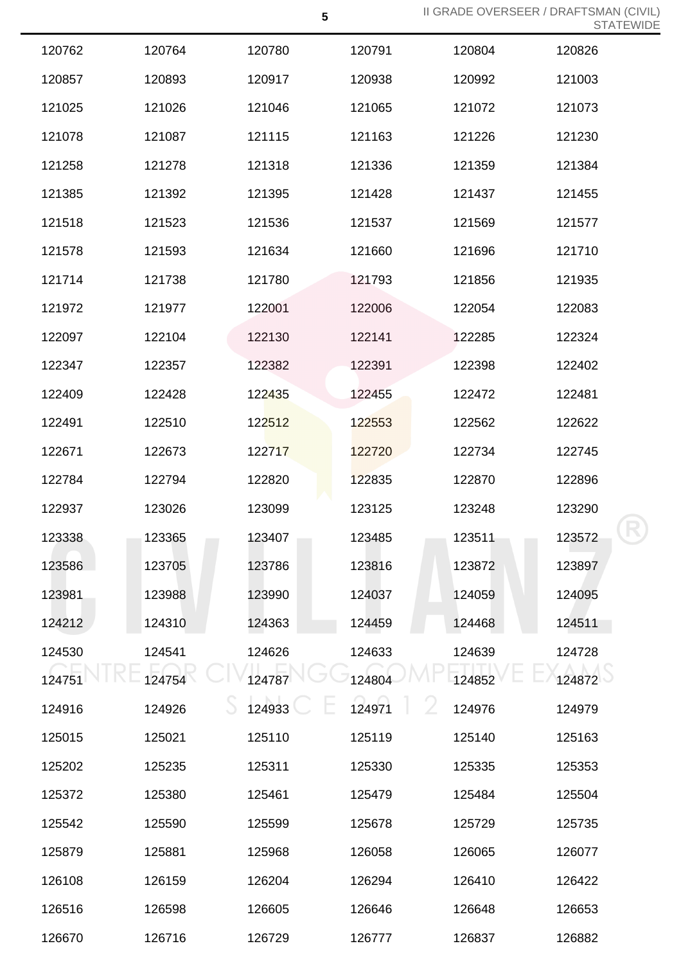| 120762 | 120764 | 120780 | 120791 | 120804 | 120826 |
|--------|--------|--------|--------|--------|--------|
| 120857 | 120893 | 120917 | 120938 | 120992 | 121003 |
| 121025 | 121026 | 121046 | 121065 | 121072 | 121073 |
| 121078 | 121087 | 121115 | 121163 | 121226 | 121230 |
| 121258 | 121278 | 121318 | 121336 | 121359 | 121384 |
| 121385 | 121392 | 121395 | 121428 | 121437 | 121455 |
| 121518 | 121523 | 121536 | 121537 | 121569 | 121577 |
| 121578 | 121593 | 121634 | 121660 | 121696 | 121710 |
| 121714 | 121738 | 121780 | 121793 | 121856 | 121935 |
| 121972 | 121977 | 122001 | 122006 | 122054 | 122083 |
| 122097 | 122104 | 122130 | 122141 | 122285 | 122324 |
| 122347 | 122357 | 122382 | 122391 | 122398 | 122402 |
| 122409 | 122428 | 122435 | 122455 | 122472 | 122481 |
| 122491 | 122510 | 122512 | 122553 | 122562 | 122622 |
| 122671 | 122673 | 122717 | 122720 | 122734 | 122745 |
| 122784 | 122794 | 122820 | 122835 | 122870 | 122896 |
| 122937 | 123026 | 123099 | 123125 | 123248 | 123290 |
| 123338 | 123365 | 123407 | 123485 | 123511 | 123572 |
| 123586 | 123705 | 123786 | 123816 | 123872 | 123897 |
| 123981 | 123988 | 123990 | 124037 | 124059 | 124095 |
| 124212 | 124310 | 124363 | 124459 | 124468 | 124511 |
| 124530 | 124541 | 124626 | 124633 | 124639 | 124728 |
| 124751 | 124754 | 124787 | 124804 | 124852 | 124872 |
| 124916 | 124926 | 124933 | 124971 | 124976 | 124979 |
| 125015 | 125021 | 125110 | 125119 | 125140 | 125163 |
| 125202 | 125235 | 125311 | 125330 | 125335 | 125353 |
| 125372 | 125380 | 125461 | 125479 | 125484 | 125504 |
| 125542 | 125590 | 125599 | 125678 | 125729 | 125735 |
| 125879 | 125881 | 125968 | 126058 | 126065 | 126077 |
| 126108 | 126159 | 126204 | 126294 | 126410 | 126422 |
| 126516 | 126598 | 126605 | 126646 | 126648 | 126653 |
| 126670 | 126716 | 126729 | 126777 | 126837 | 126882 |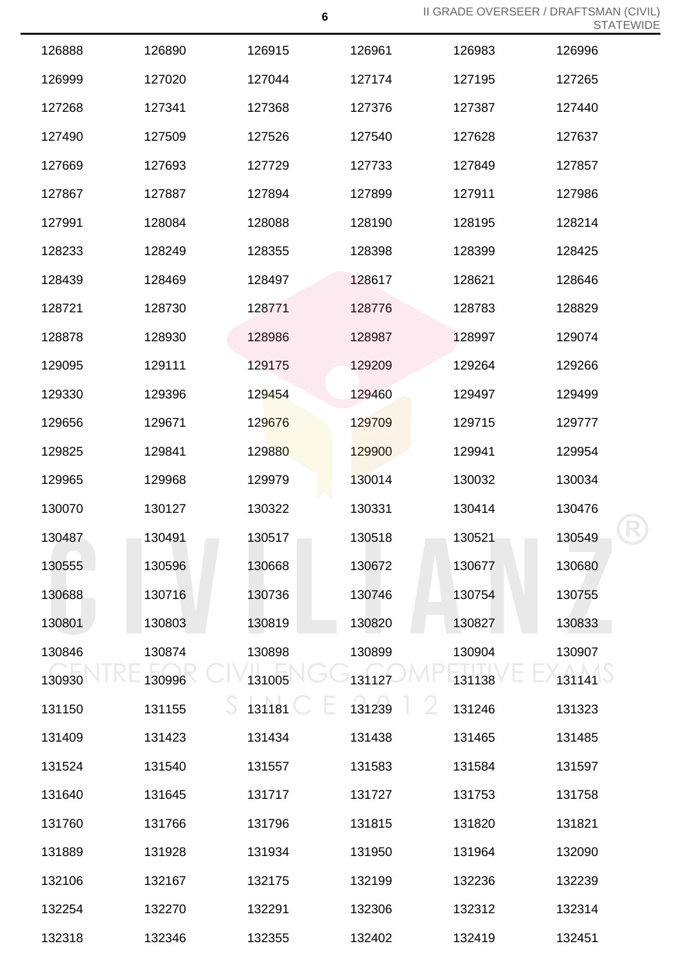| 126888 | 126890 | 126915 | 126961 | 126983 | 126996 |
|--------|--------|--------|--------|--------|--------|
| 126999 | 127020 | 127044 | 127174 | 127195 | 127265 |
| 127268 | 127341 | 127368 | 127376 | 127387 | 127440 |
| 127490 | 127509 | 127526 | 127540 | 127628 | 127637 |
| 127669 | 127693 | 127729 | 127733 | 127849 | 127857 |
| 127867 | 127887 | 127894 | 127899 | 127911 | 127986 |
| 127991 | 128084 | 128088 | 128190 | 128195 | 128214 |
| 128233 | 128249 | 128355 | 128398 | 128399 | 128425 |
| 128439 | 128469 | 128497 | 128617 | 128621 | 128646 |
| 128721 | 128730 | 128771 | 128776 | 128783 | 128829 |
| 128878 | 128930 | 128986 | 128987 | 128997 | 129074 |
| 129095 | 129111 | 129175 | 129209 | 129264 | 129266 |
| 129330 | 129396 | 129454 | 129460 | 129497 | 129499 |
| 129656 | 129671 | 129676 | 129709 | 129715 | 129777 |
| 129825 | 129841 | 129880 | 129900 | 129941 | 129954 |
| 129965 | 129968 | 129979 | 130014 | 130032 | 130034 |
| 130070 | 130127 | 130322 | 130331 | 130414 | 130476 |
| 130487 | 130491 | 130517 | 130518 | 130521 | 130549 |
| 130555 | 130596 | 130668 | 130672 | 130677 | 130680 |
| 130688 | 130716 | 130736 | 130746 | 130754 | 130755 |
| 130801 | 130803 | 130819 | 130820 | 130827 | 130833 |
| 130846 | 130874 | 130898 | 130899 | 130904 | 130907 |
| 130930 | 130996 | 131005 | 131127 | 131138 | 131141 |
| 131150 | 131155 | 131181 | 131239 | 131246 | 131323 |
| 131409 | 131423 | 131434 | 131438 | 131465 | 131485 |
| 131524 | 131540 | 131557 | 131583 | 131584 | 131597 |
| 131640 | 131645 | 131717 | 131727 | 131753 | 131758 |
| 131760 | 131766 | 131796 | 131815 | 131820 | 131821 |
| 131889 | 131928 | 131934 | 131950 | 131964 | 132090 |
| 132106 | 132167 | 132175 | 132199 | 132236 | 132239 |
| 132254 | 132270 | 132291 | 132306 | 132312 | 132314 |
| 132318 | 132346 | 132355 | 132402 | 132419 | 132451 |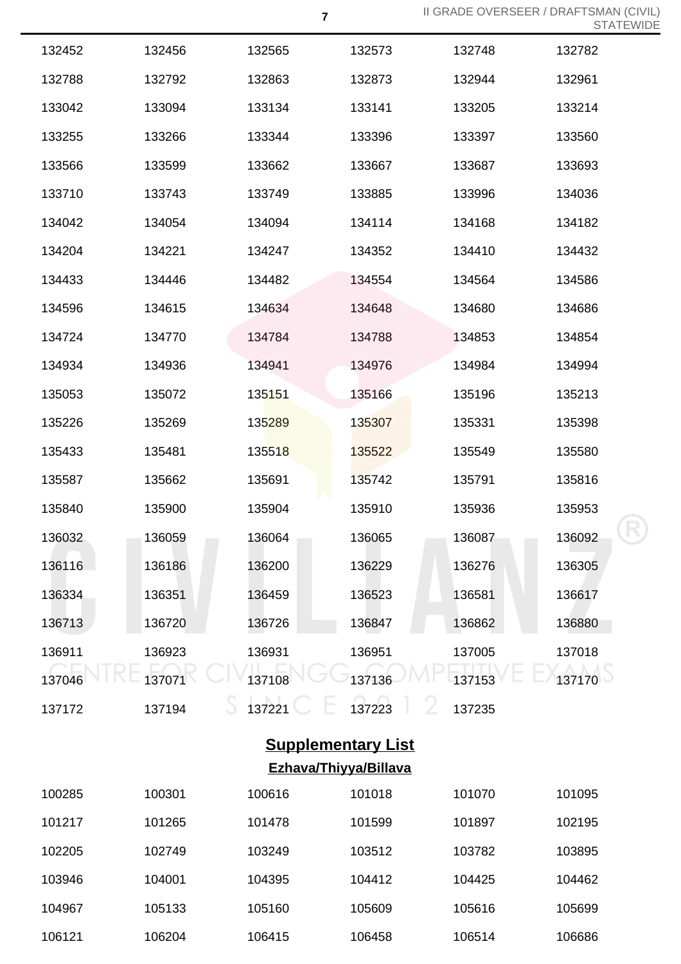| 132452 | 132456 | 132565 | 132573 | 132748 | 132782 |
|--------|--------|--------|--------|--------|--------|
| 132788 | 132792 | 132863 | 132873 | 132944 | 132961 |
| 133042 | 133094 | 133134 | 133141 | 133205 | 133214 |
| 133255 | 133266 | 133344 | 133396 | 133397 | 133560 |
| 133566 | 133599 | 133662 | 133667 | 133687 | 133693 |
| 133710 | 133743 | 133749 | 133885 | 133996 | 134036 |
| 134042 | 134054 | 134094 | 134114 | 134168 | 134182 |
| 134204 | 134221 | 134247 | 134352 | 134410 | 134432 |
| 134433 | 134446 | 134482 | 134554 | 134564 | 134586 |
| 134596 | 134615 | 134634 | 134648 | 134680 | 134686 |
| 134724 | 134770 | 134784 | 134788 | 134853 | 134854 |
| 134934 | 134936 | 134941 | 134976 | 134984 | 134994 |
| 135053 | 135072 | 135151 | 135166 | 135196 | 135213 |
| 135226 | 135269 | 135289 | 135307 | 135331 | 135398 |
| 135433 | 135481 | 135518 | 135522 | 135549 | 135580 |
| 135587 | 135662 | 135691 | 135742 | 135791 | 135816 |
| 135840 | 135900 | 135904 | 135910 | 135936 | 135953 |
| 136032 | 136059 | 136064 | 136065 | 136087 | 136092 |
| 136116 | 136186 | 136200 | 136229 | 136276 | 136305 |
| 136334 | 136351 | 136459 | 136523 | 136581 | 136617 |
| 136713 | 136720 | 136726 | 136847 | 136862 | 136880 |
| 136911 | 136923 | 136931 | 136951 | 137005 | 137018 |
| 137046 | 137071 | 137108 | 137136 | 137153 | 137170 |
| 137172 | 137194 | 137221 | 137223 | 137235 |        |

## **Supplementary List Ezhava/Thiyya/Billava**

| 100285 | 100301 | 100616 | 101018 | 101070 | 101095 |
|--------|--------|--------|--------|--------|--------|
| 101217 | 101265 | 101478 | 101599 | 101897 | 102195 |
| 102205 | 102749 | 103249 | 103512 | 103782 | 103895 |
| 103946 | 104001 | 104395 | 104412 | 104425 | 104462 |
| 104967 | 105133 | 105160 | 105609 | 105616 | 105699 |
| 106121 | 106204 | 106415 | 106458 | 106514 | 106686 |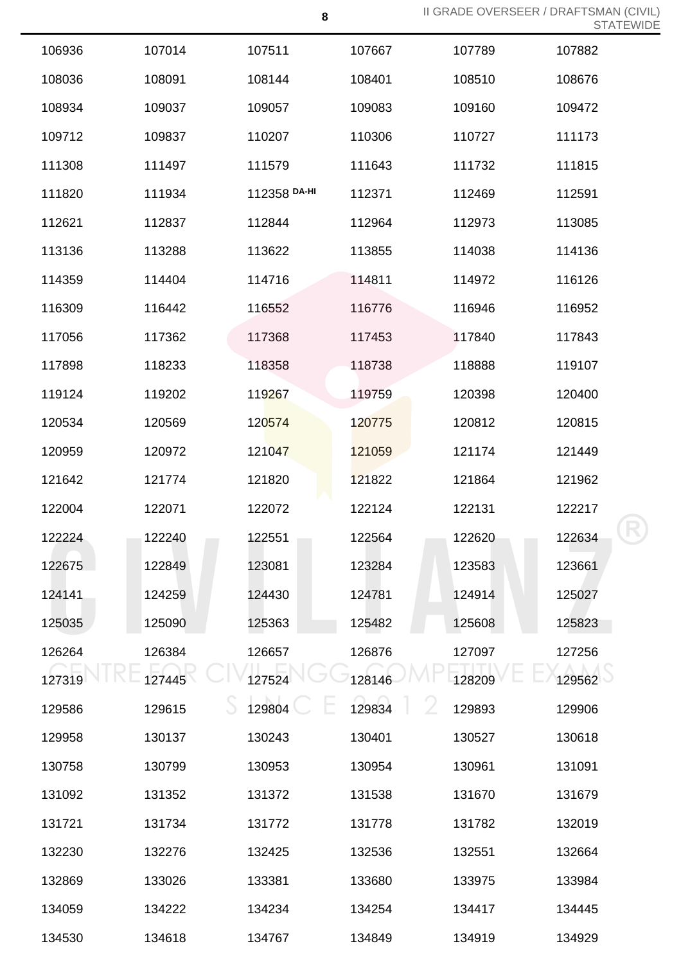| 106936 | 107014 | 107511       | 107667 | 107789 | 107882 |
|--------|--------|--------------|--------|--------|--------|
| 108036 | 108091 | 108144       | 108401 | 108510 | 108676 |
| 108934 | 109037 | 109057       | 109083 | 109160 | 109472 |
| 109712 | 109837 | 110207       | 110306 | 110727 | 111173 |
| 111308 | 111497 | 111579       | 111643 | 111732 | 111815 |
| 111820 | 111934 | 112358 DA-HI | 112371 | 112469 | 112591 |
| 112621 | 112837 | 112844       | 112964 | 112973 | 113085 |
| 113136 | 113288 | 113622       | 113855 | 114038 | 114136 |
| 114359 | 114404 | 114716       | 114811 | 114972 | 116126 |
| 116309 | 116442 | 116552       | 116776 | 116946 | 116952 |
| 117056 | 117362 | 117368       | 117453 | 117840 | 117843 |
| 117898 | 118233 | 118358       | 118738 | 118888 | 119107 |
| 119124 | 119202 | 119267       | 119759 | 120398 | 120400 |
| 120534 | 120569 | 120574       | 120775 | 120812 | 120815 |
| 120959 | 120972 | 121047       | 121059 | 121174 | 121449 |
| 121642 | 121774 | 121820       | 121822 | 121864 | 121962 |
| 122004 | 122071 | 122072       | 122124 | 122131 | 122217 |
| 122224 | 122240 | 122551       | 122564 | 122620 | 122634 |
| 122675 | 122849 | 123081       | 123284 | 123583 | 123661 |
| 124141 | 124259 | 124430       | 124781 | 124914 | 125027 |
| 125035 | 125090 | 125363       | 125482 | 125608 | 125823 |
| 126264 | 126384 | 126657       | 126876 | 127097 | 127256 |
| 127319 | 127445 | 127524       | 128146 | 128209 | 129562 |
| 129586 | 129615 | 129804       | 129834 | 129893 | 129906 |
| 129958 | 130137 | 130243       | 130401 | 130527 | 130618 |
| 130758 | 130799 | 130953       | 130954 | 130961 | 131091 |
| 131092 | 131352 | 131372       | 131538 | 131670 | 131679 |
| 131721 | 131734 | 131772       | 131778 | 131782 | 132019 |
| 132230 | 132276 | 132425       | 132536 | 132551 | 132664 |
| 132869 | 133026 | 133381       | 133680 | 133975 | 133984 |
| 134059 | 134222 | 134234       | 134254 | 134417 | 134445 |
| 134530 | 134618 | 134767       | 134849 | 134919 | 134929 |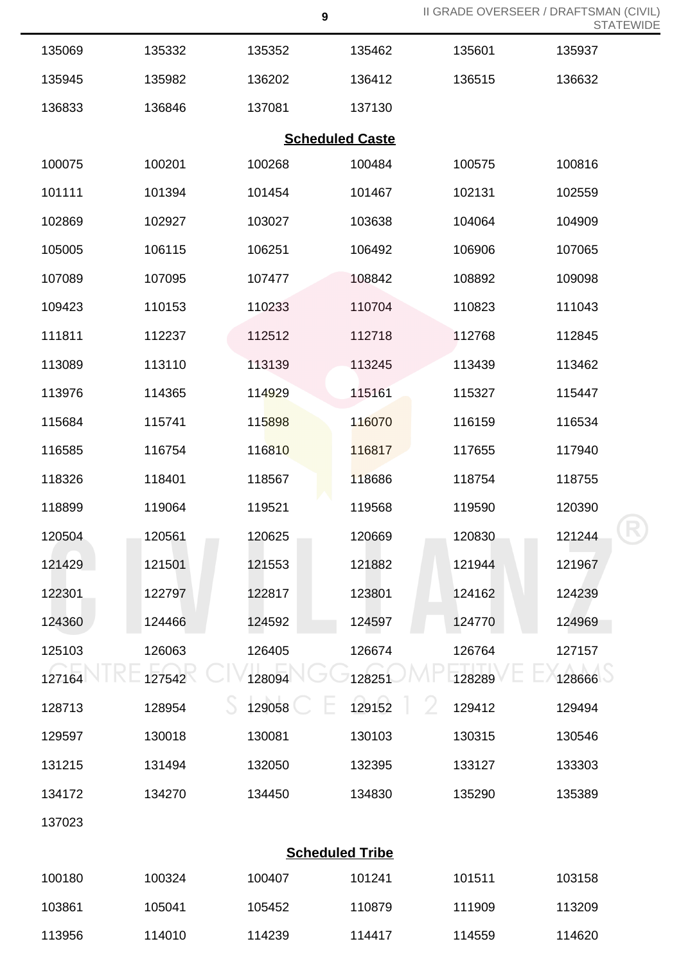| 135069 | 135332 | 135352 | 135462                 | 135601 | 135937 |
|--------|--------|--------|------------------------|--------|--------|
| 135945 | 135982 | 136202 | 136412                 | 136515 | 136632 |
| 136833 | 136846 | 137081 | 137130                 |        |        |
|        |        |        | <b>Scheduled Caste</b> |        |        |
| 100075 | 100201 | 100268 | 100484                 | 100575 | 100816 |
| 101111 | 101394 | 101454 | 101467                 | 102131 | 102559 |
| 102869 | 102927 | 103027 | 103638                 | 104064 | 104909 |
| 105005 | 106115 | 106251 | 106492                 | 106906 | 107065 |
| 107089 | 107095 | 107477 | 108842                 | 108892 | 109098 |
| 109423 | 110153 | 110233 | 110704                 | 110823 | 111043 |
| 111811 | 112237 | 112512 | 112718                 | 112768 | 112845 |
| 113089 | 113110 | 113139 | 113245                 | 113439 | 113462 |
| 113976 | 114365 | 114929 | 115161                 | 115327 | 115447 |
| 115684 | 115741 | 115898 | 116070                 | 116159 | 116534 |
| 116585 | 116754 | 116810 | 116817                 | 117655 | 117940 |
| 118326 | 118401 | 118567 | 118686                 | 118754 | 118755 |
| 118899 | 119064 | 119521 | 119568                 | 119590 | 120390 |
| 120504 | 120561 | 120625 | 120669                 | 120830 | 121244 |
| 121429 | 121501 | 121553 | 121882                 | 121944 | 121967 |
| 122301 | 122797 | 122817 | 123801                 | 124162 | 124239 |
| 124360 | 124466 | 124592 | 124597                 | 124770 | 124969 |
| 125103 | 126063 | 126405 | 126674                 | 126764 | 127157 |
| 127164 | 127542 | 128094 | 128251                 | 128289 | 128666 |
| 128713 | 128954 | 129058 | 129152                 | 129412 | 129494 |
| 129597 | 130018 | 130081 | 130103                 | 130315 | 130546 |
| 131215 | 131494 | 132050 | 132395                 | 133127 | 133303 |
| 134172 | 134270 | 134450 | 134830                 | 135290 | 135389 |
| 137023 |        |        |                        |        |        |
|        |        |        | <b>Scheduled Tribe</b> |        |        |
| 100180 | 100324 | 100407 | 101241                 | 101511 | 103158 |
| 103861 | 105041 | 105452 | 110879                 | 111909 | 113209 |
| 113956 | 114010 | 114239 | 114417                 | 114559 | 114620 |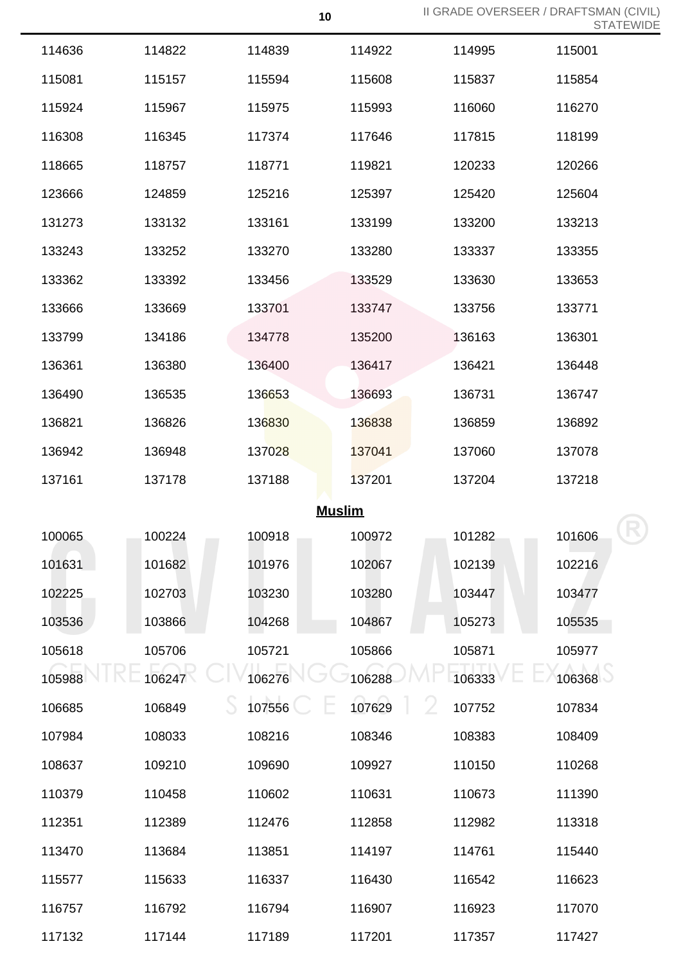| 114636 | 114822 | 114839        | 114922 | 114995 | 115001 |
|--------|--------|---------------|--------|--------|--------|
| 115081 | 115157 | 115594        | 115608 | 115837 | 115854 |
| 115924 | 115967 | 115975        | 115993 | 116060 | 116270 |
| 116308 | 116345 | 117374        | 117646 | 117815 | 118199 |
| 118665 | 118757 | 118771        | 119821 | 120233 | 120266 |
| 123666 | 124859 | 125216        | 125397 | 125420 | 125604 |
| 131273 | 133132 | 133161        | 133199 | 133200 | 133213 |
| 133243 | 133252 | 133270        | 133280 | 133337 | 133355 |
| 133362 | 133392 | 133456        | 133529 | 133630 | 133653 |
| 133666 | 133669 | 133701        | 133747 | 133756 | 133771 |
| 133799 | 134186 | 134778        | 135200 | 136163 | 136301 |
| 136361 | 136380 | 136400        | 136417 | 136421 | 136448 |
| 136490 | 136535 | 136653        | 136693 | 136731 | 136747 |
| 136821 | 136826 | 136830        | 136838 | 136859 | 136892 |
| 136942 | 136948 | 137028        | 137041 | 137060 | 137078 |
| 137161 | 137178 | 137188        | 137201 | 137204 | 137218 |
|        |        | <b>Muslim</b> |        |        |        |
| 100065 | 100224 | 100918        | 100972 | 101282 | 101606 |
| 101631 | 101682 | 101976        | 102067 | 102139 | 102216 |
| 102225 | 102703 | 103230        | 103280 | 103447 | 103477 |
| 103536 | 103866 | 104268        | 104867 | 105273 | 105535 |
| 105618 | 105706 | 105721        | 105866 | 105871 | 105977 |
| 105988 | 106247 | 106276        | 106288 | 106333 | 106368 |
| 106685 | 106849 | 107556        | 107629 | 107752 | 107834 |
| 107984 | 108033 | 108216        | 108346 | 108383 | 108409 |
| 108637 | 109210 | 109690        | 109927 | 110150 | 110268 |
| 110379 | 110458 | 110602        | 110631 | 110673 | 111390 |
| 112351 | 112389 | 112476        | 112858 | 112982 | 113318 |
| 113470 | 113684 | 113851        | 114197 | 114761 | 115440 |
| 115577 | 115633 | 116337        | 116430 | 116542 | 116623 |
| 116757 | 116792 | 116794        | 116907 | 116923 | 117070 |
| 117132 | 117144 | 117189        | 117201 | 117357 | 117427 |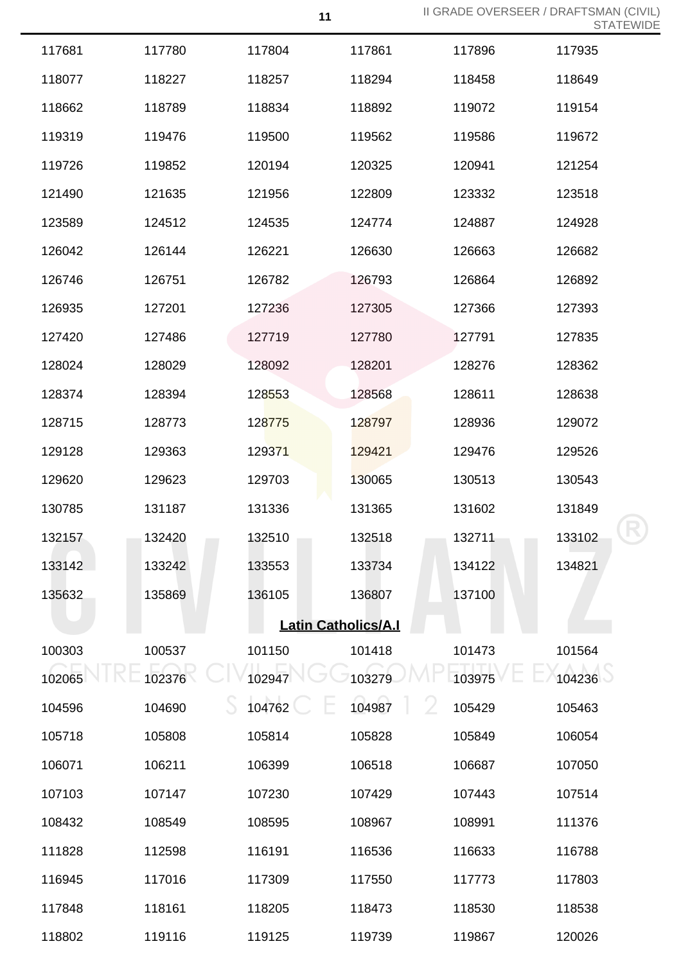| 117935<br>118649<br>119154<br>119672<br>121254<br>123518<br>124928<br>126682<br>126892<br>127393<br>127835<br>128362<br>128638<br>129072<br>129526<br>130543 |
|--------------------------------------------------------------------------------------------------------------------------------------------------------------|
|                                                                                                                                                              |
|                                                                                                                                                              |
|                                                                                                                                                              |
|                                                                                                                                                              |
|                                                                                                                                                              |
|                                                                                                                                                              |
|                                                                                                                                                              |
|                                                                                                                                                              |
|                                                                                                                                                              |
|                                                                                                                                                              |
|                                                                                                                                                              |
|                                                                                                                                                              |
|                                                                                                                                                              |
|                                                                                                                                                              |
|                                                                                                                                                              |
|                                                                                                                                                              |
| 131849                                                                                                                                                       |
| 133102                                                                                                                                                       |
| 134821                                                                                                                                                       |
|                                                                                                                                                              |
|                                                                                                                                                              |
| 101564                                                                                                                                                       |
| 104236                                                                                                                                                       |
| 105463                                                                                                                                                       |
| 106054                                                                                                                                                       |
| 107050                                                                                                                                                       |
| 107514                                                                                                                                                       |
| 111376                                                                                                                                                       |
| 116788                                                                                                                                                       |
| 117803                                                                                                                                                       |
| 118538                                                                                                                                                       |
| 120026                                                                                                                                                       |
|                                                                                                                                                              |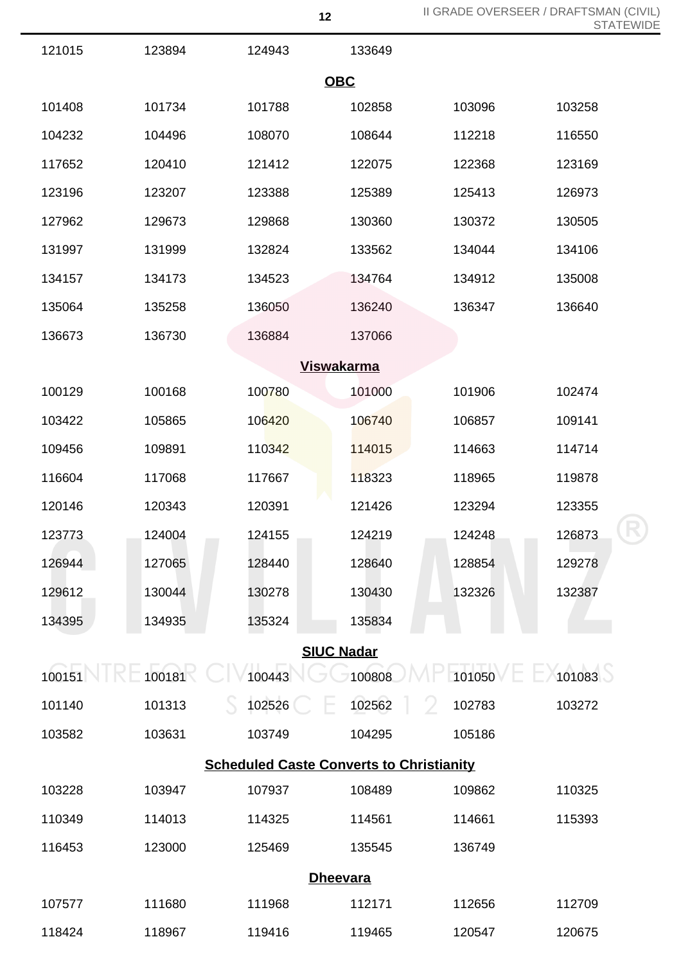R

| 121015            | 123894 | 124943                                          | 133649            |             |        |  |  |  |  |
|-------------------|--------|-------------------------------------------------|-------------------|-------------|--------|--|--|--|--|
|                   |        |                                                 | <b>OBC</b>        |             |        |  |  |  |  |
| 101408            | 101734 | 101788                                          | 102858            | 103096      | 103258 |  |  |  |  |
| 104232            | 104496 | 108070                                          | 108644            | 112218      | 116550 |  |  |  |  |
| 117652            | 120410 | 121412                                          | 122075            | 122368      | 123169 |  |  |  |  |
| 123196            | 123207 | 123388                                          | 125389            | 125413      | 126973 |  |  |  |  |
| 127962            | 129673 | 129868                                          | 130360            | 130372      | 130505 |  |  |  |  |
| 131997            | 131999 | 132824                                          | 133562            | 134044      | 134106 |  |  |  |  |
| 134157            | 134173 | 134523                                          | 134764            | 134912      | 135008 |  |  |  |  |
| 135064            | 135258 | 136050                                          | 136240            | 136347      | 136640 |  |  |  |  |
| 136673            | 136730 | 136884                                          | 137066            |             |        |  |  |  |  |
| <b>Viswakarma</b> |        |                                                 |                   |             |        |  |  |  |  |
| 100129            | 100168 | 100780                                          | 101000            | 101906      | 102474 |  |  |  |  |
| 103422            | 105865 | 106420                                          | 106740            | 106857      | 109141 |  |  |  |  |
| 109456            | 109891 | 110342                                          | 114015            | 114663      | 114714 |  |  |  |  |
| 116604            | 117068 | 117667                                          | 118323            | 118965      | 119878 |  |  |  |  |
| 120146            | 120343 | 120391                                          | 121426            | 123294      | 123355 |  |  |  |  |
| 123773            | 124004 | 124155                                          | 124219            | 124248      | 126873 |  |  |  |  |
| 126944            | 127065 | 128440                                          | 128640            | 128854      | 129278 |  |  |  |  |
| 129612            | 130044 | 130278                                          | 130430            | 132326      | 132387 |  |  |  |  |
| 134395            | 134935 | 135324                                          | 135834            |             |        |  |  |  |  |
|                   |        |                                                 | <b>SIUC Nadar</b> |             |        |  |  |  |  |
| 100151            | 100181 | 100443                                          | 100808            | 101050      | 101083 |  |  |  |  |
| 101140            | 101313 | 102526                                          | 102562            | V<br>102783 | 103272 |  |  |  |  |
| 103582            | 103631 | 103749                                          | 104295            | 105186      |        |  |  |  |  |
|                   |        | <b>Scheduled Caste Converts to Christianity</b> |                   |             |        |  |  |  |  |
| 103228            | 103947 | 107937                                          | 108489            | 109862      | 110325 |  |  |  |  |
| 110349            | 114013 | 114325                                          | 114561            | 114661      | 115393 |  |  |  |  |
| 116453            | 123000 | 125469                                          | 135545            | 136749      |        |  |  |  |  |
| <b>Dheevara</b>   |        |                                                 |                   |             |        |  |  |  |  |
| 107577            | 111680 | 111968                                          | 112171            | 112656      | 112709 |  |  |  |  |
| 118424            | 118967 | 119416                                          | 119465            | 120547      | 120675 |  |  |  |  |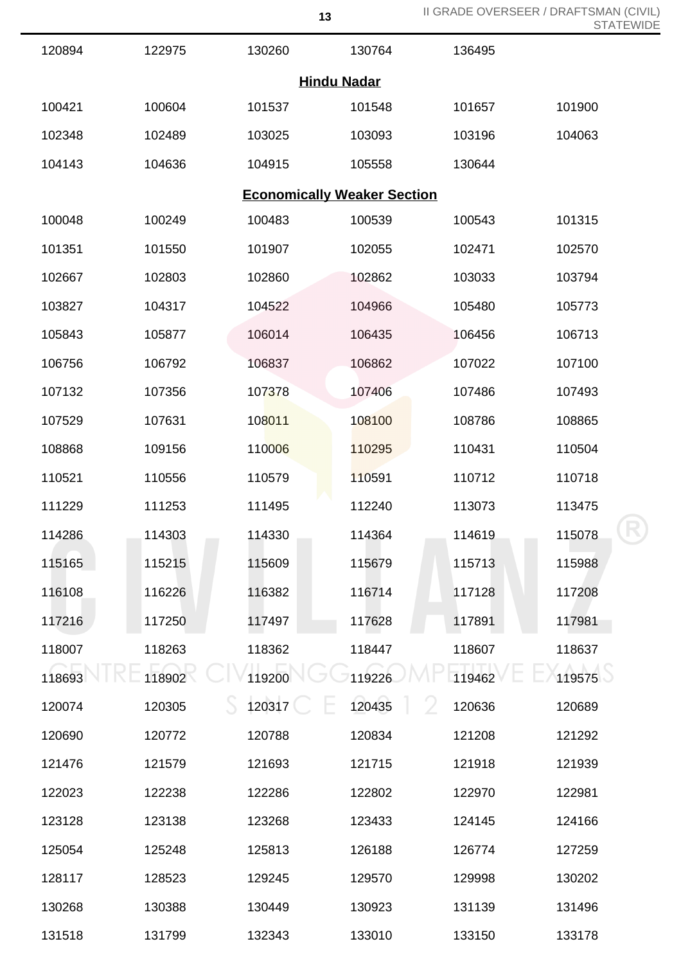R

| 120894 | 122975 | 130260 | 130764                             | 136495 |        |
|--------|--------|--------|------------------------------------|--------|--------|
|        |        |        | <b>Hindu Nadar</b>                 |        |        |
| 100421 | 100604 | 101537 | 101548                             | 101657 | 101900 |
| 102348 | 102489 | 103025 | 103093                             | 103196 | 104063 |
| 104143 | 104636 | 104915 | 105558                             | 130644 |        |
|        |        |        | <b>Economically Weaker Section</b> |        |        |
| 100048 | 100249 | 100483 | 100539                             | 100543 | 101315 |
| 101351 | 101550 | 101907 | 102055                             | 102471 | 102570 |
| 102667 | 102803 | 102860 | 102862                             | 103033 | 103794 |
| 103827 | 104317 | 104522 | 104966                             | 105480 | 105773 |
| 105843 | 105877 | 106014 | 106435                             | 106456 | 106713 |
| 106756 | 106792 | 106837 | 106862                             | 107022 | 107100 |
| 107132 | 107356 | 107378 | 107406                             | 107486 | 107493 |
| 107529 | 107631 | 108011 | 108100                             | 108786 | 108865 |
| 108868 | 109156 | 110006 | 110295                             | 110431 | 110504 |
| 110521 | 110556 | 110579 | 110591                             | 110712 | 110718 |
| 111229 | 111253 | 111495 | 112240                             | 113073 | 113475 |
| 114286 | 114303 | 114330 | 114364                             | 114619 | 115078 |
| 115165 | 115215 | 115609 | 115679                             | 115713 | 115988 |
| 116108 | 116226 | 116382 | 116714                             | 117128 | 117208 |
| 117216 | 117250 | 117497 | 117628                             | 117891 | 117981 |
| 118007 | 118263 | 118362 | 118447                             | 118607 | 118637 |
| 118693 | 118902 | 119200 | 119226                             | 119462 | 119575 |
| 120074 | 120305 | 120317 | 120435                             | 120636 | 120689 |
| 120690 | 120772 | 120788 | 120834                             | 121208 | 121292 |
| 121476 | 121579 | 121693 | 121715                             | 121918 | 121939 |
| 122023 | 122238 | 122286 | 122802                             | 122970 | 122981 |
| 123128 | 123138 | 123268 | 123433                             | 124145 | 124166 |
| 125054 | 125248 | 125813 | 126188                             | 126774 | 127259 |
| 128117 | 128523 | 129245 | 129570                             | 129998 | 130202 |
| 130268 | 130388 | 130449 | 130923                             | 131139 | 131496 |
| 131518 | 131799 | 132343 | 133010                             | 133150 | 133178 |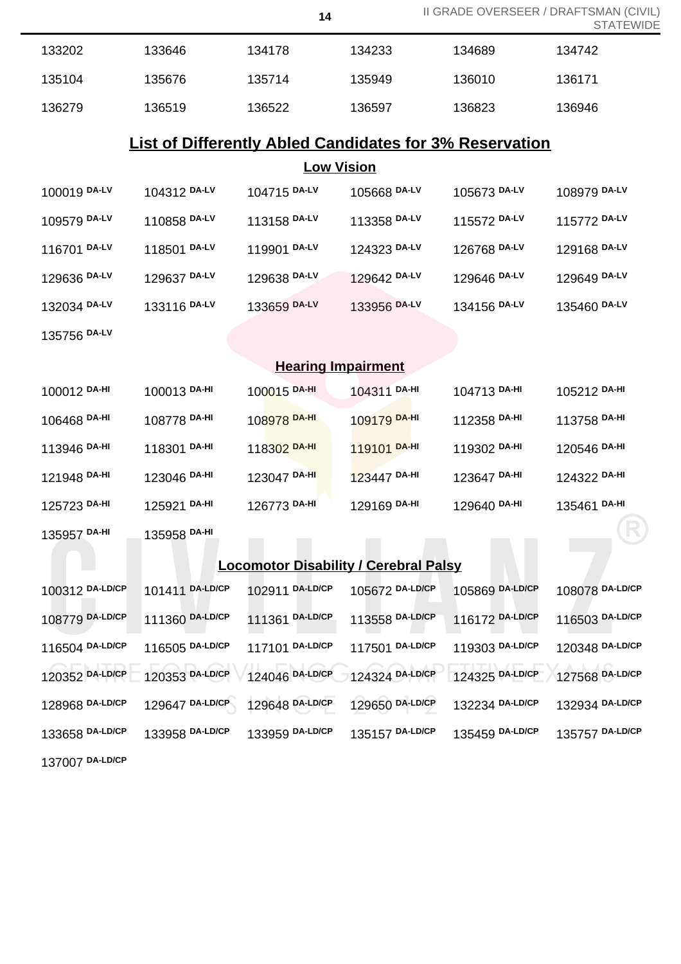|                                                                |                 | 14              |                 |                 | II GRADE OVERSEER / DRAFTSMAN (CIVIL)<br><b>STATEWIDE</b> |  |  |
|----------------------------------------------------------------|-----------------|-----------------|-----------------|-----------------|-----------------------------------------------------------|--|--|
| 133202                                                         | 133646          | 134178          | 134233          | 134689          | 134742                                                    |  |  |
| 135104                                                         | 135676          | 135714          | 135949          | 136010          | 136171                                                    |  |  |
| 136279                                                         | 136519          | 136522          | 136597          | 136823          | 136946                                                    |  |  |
| <b>List of Differently Abled Candidates for 3% Reservation</b> |                 |                 |                 |                 |                                                           |  |  |
| <b>Low Vision</b>                                              |                 |                 |                 |                 |                                                           |  |  |
| 100019 DA-LV                                                   | 104312 DA-LV    | 104715 DA-LV    | 105668 DA-LV    | 105673 DA-LV    | 108979 DA-LV                                              |  |  |
| 109579 DA-LV                                                   | 110858 DA-LV    | 113158 DA-LV    | 113358 DA-LV    | 115572 DA-LV    | 115772 DA-LV                                              |  |  |
| 116701 DA-LV                                                   | 118501 DA-LV    | 119901 DA-LV    | 124323 DA-LV    | 126768 DA-LV    | 129168 DA-LV                                              |  |  |
| 129636 DA-LV                                                   | 129637 DA-LV    | 129638 DA-LV    | 129642 DA-LV    | 129646 DA-LV    | 129649 DA-LV                                              |  |  |
| 132034 DA-LV                                                   | 133116 DA-LV    | 133659 DA-LV    | 133956 DA-LV    | 134156 DA-LV    | 135460 DA-LV                                              |  |  |
| 135756 DA-LV                                                   |                 |                 |                 |                 |                                                           |  |  |
| <b>Hearing Impairment</b>                                      |                 |                 |                 |                 |                                                           |  |  |
| 100012 DA-HI                                                   | 100013 DA-HI    | 100015 DA-HI    | 104311 DA-HI    | 104713 DA-HI    | 105212 DA-HI                                              |  |  |
| 106468 DA-HI                                                   | 108778 DA-HI    | 108978 DA-HI    | 109179 DA-HI    | 112358 DA-HI    | 113758 DA-HI                                              |  |  |
| 113946 DA-HI                                                   | 118301 DA-HI    | 118302 DA-HI    | 119101 DA-HI    | 119302 DA-HI    | 120546 DA-HI                                              |  |  |
| 121948 DA-HI                                                   | 123046 DA-HI    | 123047 DA-HI    | 123447 DA-HI    | 123647 DA-HI    | 124322 DA-HI                                              |  |  |
| 125723 DA-HI                                                   | 125921 DA-HI    | 126773 DA-HI    | 129169 DA-HI    | 129640 DA-HI    | 135461 DA-HI                                              |  |  |
| 135957 DA-HI                                                   | 135958 DA-HI    |                 |                 |                 |                                                           |  |  |
| <b>Locomotor Disability / Cerebral Palsy</b>                   |                 |                 |                 |                 |                                                           |  |  |
| 100312 DA-LD/CP                                                | 101411 DA-LD/CP | 102911 DA-LD/CP | 105672 DA-LD/CP | 105869 DA-LD/CP | 108078 DA-LD/CP                                           |  |  |
| 108779 DA-LD/CP                                                | 111360 DA-LD/CP | 111361 DA-LD/CP | 113558 DA-LD/CP | 116172 DA-LD/CP | 116503 DA-LD/CP                                           |  |  |
| 116504 DA-LD/CP                                                | 116505 DA-LD/CP | 117101 DA-LD/CP | 117501 DA-LD/CP | 119303 DA-LD/CP | 120348 DA-LD/CP                                           |  |  |
| 120352 DA-LD/CP                                                | 120353 DA-LD/CP | 124046 DA-LD/CP | 124324 DA-LD/CP | 124325 DA-LD/CP | 127568 DA-LD/CP                                           |  |  |
| 128968 DA-LD/CP                                                | 129647 DA-LD/CP | 129648 DA-LD/CP | 129650 DA-LD/CP | 132234 DA-LD/CP | 132934 DA-LD/CP                                           |  |  |
| 133658 DA-LD/CP                                                | 133958 DA-LD/CP | 133959 DA-LD/CP | 135157 DA-LD/CP | 135459 DA-LD/CP | 135757 DA-LD/CP                                           |  |  |
| 137007 DA-LD/CP                                                |                 |                 |                 |                 |                                                           |  |  |